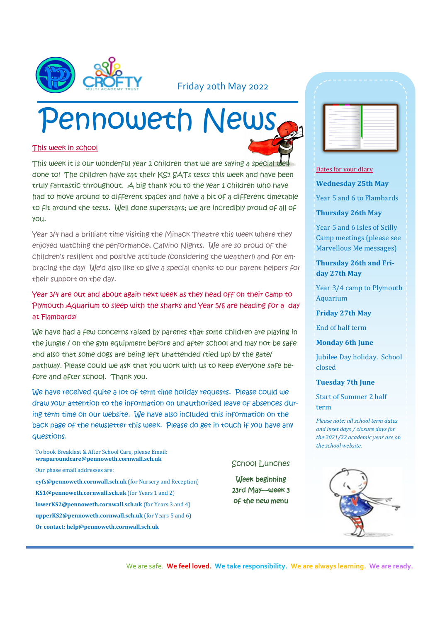

### Friday 20th May 2022

# Pennoweth New

#### This week in school

| g a specia |  |  |
|------------|--|--|

This week it is our wonderful year 2 children that we are saying a special done to! The children have sat their KS1 SATs tests this week and have been truly fantastic throughout. A big thank you to the year 1 children who have had to move around to different spaces and have a bit of a different timetable to fit around the tests. Well done superstars; we are incredibly proud of all of you.

Year 3/4 had a brilliant time visiting the Minack Theatre this week where they enjoyed watching the performance, Calvino Nights. We are so proud of the children's resilient and positive attitude (considering the weather!) and for embracing the day! We'd also like to give a special thanks to our parent helpers for their support on the day.

#### Year 3/4 are out and about again next week as they head off on their camp to Plymouth Aquarium to sleep with the sharks and Year 5/6 are heading for a day at Flambards!

We have had a few concerns raised by parents that some children are playing in the jungle / on the gym equipment before and after school and may not be safe and also that some dogs are being left unattended (tied up) by the gate/ pathway. Please could we ask that you work with us to keep everyone safe before and after school. Thank you.

We have received quite a lot of term time holiday requests. Please could we draw your attention to the information on unauthorised leave of absences during term time on our website. We have also included this information on the back page of the newsletter this week. Please do get in touch if you have any questions.

To book Breakfast & After School Care, please Email: **wraparoundcare@pennoweth.cornwall.sch.uk** Our phase email addresses are: **eyfs@pennoweth.cornwall.sch.uk** (for Nursery and Reception) **KS1@pennoweth.cornwall.sch.uk** (for Years 1 and 2) **lowerKS2@pennoweth.cornwall.sch.uk** (for Years 3 and 4) **upperKS2@pennoweth.cornwall.sch.uk** (for Years 5 and 6)

**Or contact: help@pennoweth.cornwall.sch.uk**

| <u>, - - -</u> - - - - - - - - - - - |   |        |
|--------------------------------------|---|--------|
|                                      |   |        |
|                                      |   |        |
|                                      |   |        |
|                                      |   |        |
| $\sim$                               |   | -      |
| ÷<br>۰                               |   | $\sim$ |
|                                      |   |        |
| -<br>-                               |   | -<br>- |
| المستوفي                             |   | -<br>۰ |
| ٠<br>$\sim$                          |   | ÷      |
| <b>STATISTICS</b><br>$\sim$          |   | -<br>- |
| $\sim$<br>$\overline{\phantom{a}}$   | - | -      |
| <b>STATISTICS</b>                    |   |        |
|                                      |   |        |

#### Dates for your diary

**Wednesday 25th May**

Year 5 and 6 to Flambards

#### **Thursday 26th May**

Year 5 and 6 Isles of Scilly Camp meetings (please see Marvellous Me messages)

**Thursday 26th and Friday 27th May**

Year 3/4 camp to Plymouth Aquarium

**Friday 27th May**

End of half term

**Monday 6th June**

Jubilee Day holiday. School closed

#### **Tuesday 7th June**

Start of Summer 2 half term

*Please note: all school term dates and inset days / closure days for the 2021/22 academic year are on the school website.* 

We are safe. **We feel loved. We take responsibility. We are always learning. We are ready.**

School Lunches

Week beginning 23rd May—week 3 of the new menu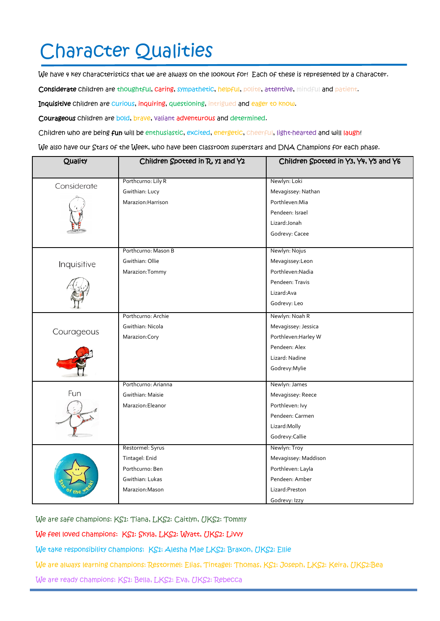## Character Qualities

We have 4 key characteristics that we are always on the lookout for! Each of these is represented by a character.

Considerate children are thoughtful, caring, sympathetic, helpful, polite, attentive, mindful and patient.

Inquisitive children are curious, inquiring, questioning, intrigued and eager to know.

Courageous children are bold, brave, valiant adventurous and determined.

Children who are being fun will be enthusiastic, excited, energetic, cheerful, light-hearted and will laugh!

We also have our Stars of the Week, who have been classroom superstars and DNA Champions for each phase.

| Quality     | Children Spotted in R, y1 and Y2 | Children Spotted in Y3, Y4, Y5 and Y6 |  |
|-------------|----------------------------------|---------------------------------------|--|
|             | Porthcurno: Lily R               | Newlyn: Loki                          |  |
| Considerate | Gwithian: Lucy                   | Mevagissey: Nathan                    |  |
|             | Marazion: Harrison               | Porthleven:Mia                        |  |
|             |                                  | Pendeen: Israel                       |  |
|             |                                  | Lizard: Jonah                         |  |
|             |                                  |                                       |  |
|             |                                  | Godrevy: Cacee                        |  |
| Inquisitive | Porthcurno: Mason B              | Newlyn: Nojus                         |  |
|             | Gwithian: Ollie                  | Mevagissey:Leon                       |  |
|             | Marazion: Tommy                  | Porthleven:Nadia                      |  |
|             |                                  | Pendeen: Travis                       |  |
|             |                                  | Lizard: Ava                           |  |
|             |                                  | Godrevy: Leo                          |  |
| Courageous  | Porthcurno: Archie               | Newlyn: Noah R                        |  |
|             | Gwithian: Nicola                 | Mevagissey: Jessica                   |  |
|             | Marazion: Cory                   | Porthleven: Harley W                  |  |
|             |                                  | Pendeen: Alex                         |  |
|             |                                  | Lizard: Nadine                        |  |
|             |                                  | Godrevy: Mylie                        |  |
|             | Porthcurno: Arianna              | Newlyn: James                         |  |
| Fun         | Gwithian: Maisie                 | Mevagissey: Reece                     |  |
|             | Marazion: Eleanor                | Porthleven: Ivy                       |  |
|             |                                  | Pendeen: Carmen                       |  |
|             |                                  | Lizard: Molly                         |  |
|             |                                  | Godrevy: Callie                       |  |
|             | Restormel: Syrus                 | Newlyn: Troy                          |  |
|             | Tintagel: Enid                   | Mevagissey: Maddison                  |  |
|             | Porthcurno: Ben                  | Porthleven: Layla                     |  |
|             | Gwithian: Lukas                  | Pendeen: Amber                        |  |
|             | Marazion: Mason                  | Lizard: Preston                       |  |
|             |                                  | Godrevy: Izzy                         |  |

We are safe champions: KS1: Tiana, LKS2: Caitlyn, UKS2: Tommy

We feel loved champions: KS1: Skyla, LKS2: Wyatt, UKS2: Livvy

We take responsibility champions: KS1: Alesha Mae LKS2: Braxon, UKS2: Ellie

We are always learning champions: Restormel: Elias, Tintagel: Thomas, KS1: Joseph, LKS2: Keira, UKS2:Bea

We are ready champions: KS1: Bella, LKS2: Eva, UKS2: Rebecca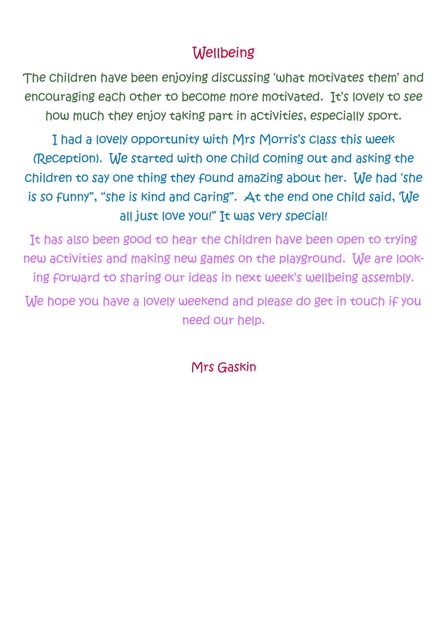## **Wellbeing**

The children have been enjoying discussing 'what motivates them' and encouraging each other to become more motivated. It's lovely to see how much they enjoy taking part in activities, especially sport.

I had a lovely opportunity with Mrs Morris's class this week (Reception). We started with one child coming out and asking the children to say one thing they found amazing about her. We had 'she is so funny", "she is kind and caring". At the end one child said, 'We all just love you!" It was very special!

It has also been good to hear the children have been open to trying new activities and making new games on the playground. We are looking forward to sharing our ideas in next week's wellbeing assembly.

We hope you have a lovely weekend and please do get in touch if you need our help.

Mrs Gaskin